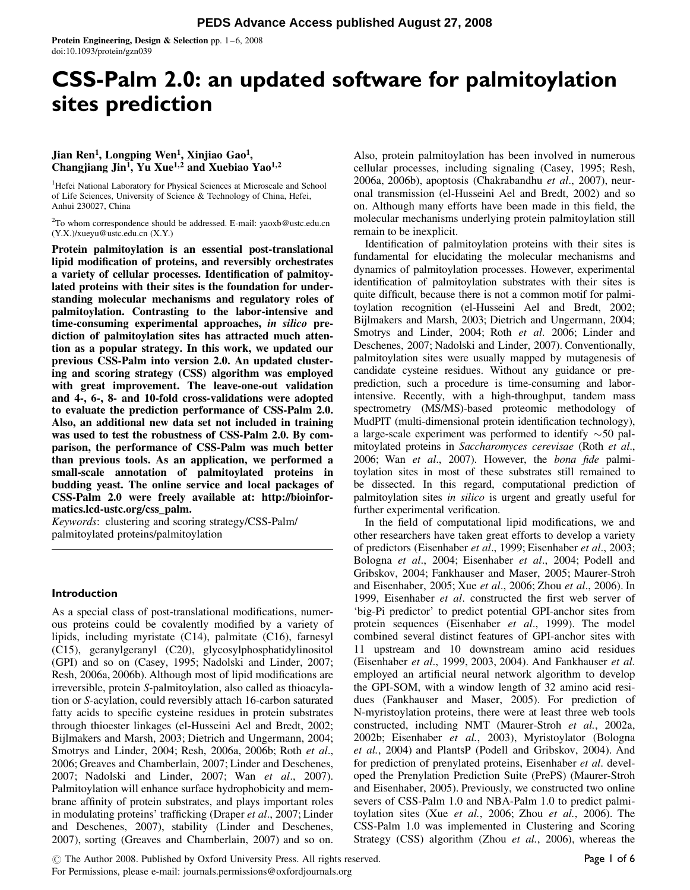# CSS-Palm 2.0: an updated software for palmitoylation sites prediction

# Jian Ren<sup>1</sup>, Longping Wen<sup>1</sup>, Xinjiao Gao<sup>1</sup>, Changjiang Jin<sup>1</sup>, Yu Xue<sup>1,2</sup> and Xuebiao Yao<sup>1,2</sup>

<sup>1</sup>Hefei National Laboratory for Physical Sciences at Microscale and School of Life Sciences, University of Science & Technology of China, Hefei, Anhui 230027, China

<sup>2</sup>To whom correspondence should be addressed. E-mail: yaoxb@ustc.edu.cn (Y.X.)/xueyu@ustc.edu.cn (X.Y.)

Protein palmitoylation is an essential post-translational lipid modification of proteins, and reversibly orchestrates a variety of cellular processes. Identification of palmitoylated proteins with their sites is the foundation for understanding molecular mechanisms and regulatory roles of palmitoylation. Contrasting to the labor-intensive and time-consuming experimental approaches, in silico prediction of palmitoylation sites has attracted much attention as a popular strategy. In this work, we updated our previous CSS-Palm into version 2.0. An updated clustering and scoring strategy (CSS) algorithm was employed with great improvement. The leave-one-out validation and 4-, 6-, 8- and 10-fold cross-validations were adopted to evaluate the prediction performance of CSS-Palm 2.0. Also, an additional new data set not included in training was used to test the robustness of CSS-Palm 2.0. By comparison, the performance of CSS-Palm was much better than previous tools. As an application, we performed a small-scale annotation of palmitoylated proteins in budding yeast. The online service and local packages of CSS-Palm 2.0 were freely available at: http://bioinformatics.lcd-ustc.org/css\_palm.

Keywords: clustering and scoring strategy/CSS-Palm/ palmitoylated proteins/palmitoylation

### Introduction

As a special class of post-translational modifications, numerous proteins could be covalently modified by a variety of lipids, including myristate (C14), palmitate (C16), farnesyl (C15), geranylgeranyl (C20), glycosylphosphatidylinositol (GPI) and so on (Casey, 1995; Nadolski and Linder, 2007; Resh, 2006a, 2006b). Although most of lipid modifications are irreversible, protein S-palmitoylation, also called as thioacylation or S-acylation, could reversibly attach 16-carbon saturated fatty acids to specific cysteine residues in protein substrates through thioester linkages (el-Husseini Ael and Bredt, 2002; Bijlmakers and Marsh, 2003; Dietrich and Ungermann, 2004; Smotrys and Linder, 2004; Resh, 2006a, 2006b; Roth et al., 2006; Greaves and Chamberlain, 2007; Linder and Deschenes, 2007; Nadolski and Linder, 2007; Wan et al., 2007). Palmitoylation will enhance surface hydrophobicity and membrane affinity of protein substrates, and plays important roles in modulating proteins' trafficking (Draper et al., 2007; Linder and Deschenes, 2007), stability (Linder and Deschenes, 2007), sorting (Greaves and Chamberlain, 2007) and so on.

Also, protein palmitoylation has been involved in numerous cellular processes, including signaling (Casey, 1995; Resh, 2006a, 2006b), apoptosis (Chakrabandhu et al., 2007), neuronal transmission (el-Husseini Ael and Bredt, 2002) and so on. Although many efforts have been made in this field, the molecular mechanisms underlying protein palmitoylation still remain to be inexplicit.

Identification of palmitoylation proteins with their sites is fundamental for elucidating the molecular mechanisms and dynamics of palmitoylation processes. However, experimental identification of palmitoylation substrates with their sites is quite difficult, because there is not a common motif for palmitoylation recognition (el-Husseini Ael and Bredt, 2002; Bijlmakers and Marsh, 2003; Dietrich and Ungermann, 2004; Smotrys and Linder, 2004; Roth et al. 2006; Linder and Deschenes, 2007; Nadolski and Linder, 2007). Conventionally, palmitoylation sites were usually mapped by mutagenesis of candidate cysteine residues. Without any guidance or preprediction, such a procedure is time-consuming and laborintensive. Recently, with a high-throughput, tandem mass spectrometry (MS/MS)-based proteomic methodology of MudPIT (multi-dimensional protein identification technology), a large-scale experiment was performed to identify  $\sim$  50 palmitoylated proteins in Saccharomyces cerevisae (Roth et al., 2006; Wan et al., 2007). However, the bona fide palmitoylation sites in most of these substrates still remained to be dissected. In this regard, computational prediction of palmitoylation sites in silico is urgent and greatly useful for further experimental verification.

In the field of computational lipid modifications, we and other researchers have taken great efforts to develop a variety of predictors (Eisenhaber et al., 1999; Eisenhaber et al., 2003; Bologna et al., 2004; Eisenhaber et al., 2004; Podell and Gribskov, 2004; Fankhauser and Maser, 2005; Maurer-Stroh and Eisenhaber, 2005; Xue et al., 2006; Zhou et al., 2006). In 1999, Eisenhaber et al. constructed the first web server of 'big-Pi predictor' to predict potential GPI-anchor sites from protein sequences (Eisenhaber et al., 1999). The model combined several distinct features of GPI-anchor sites with 11 upstream and 10 downstream amino acid residues (Eisenhaber et al., 1999, 2003, 2004). And Fankhauser et al. employed an artificial neural network algorithm to develop the GPI-SOM, with a window length of 32 amino acid residues (Fankhauser and Maser, 2005). For prediction of N-myristoylation proteins, there were at least three web tools constructed, including NMT (Maurer-Stroh et al., 2002a, 2002b; Eisenhaber et al., 2003), Myristoylator (Bologna et al., 2004) and PlantsP (Podell and Gribskov, 2004). And for prediction of prenylated proteins, Eisenhaber et al. developed the Prenylation Prediction Suite (PrePS) (Maurer-Stroh and Eisenhaber, 2005). Previously, we constructed two online severs of CSS-Palm 1.0 and NBA-Palm 1.0 to predict palmitoylation sites (Xue et al., 2006; Zhou et al., 2006). The CSS-Palm 1.0 was implemented in Clustering and Scoring Strategy (CSS) algorithm (Zhou *et al.*, 2006), whereas the

<sup>©</sup> The Author 2008. Published by Oxford University Press. All rights reserved. For Permissions, please e-mail: journals.permissions@oxfordjournals.org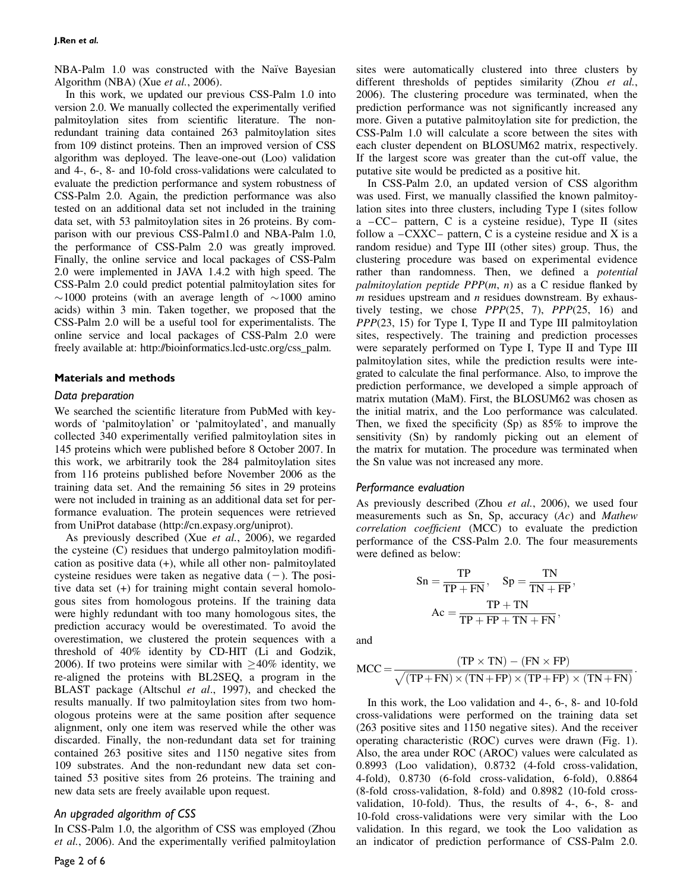NBA-Palm 1.0 was constructed with the Naïve Bayesian Algorithm (NBA) (Xue et al., 2006).

In this work, we updated our previous CSS-Palm 1.0 into version 2.0. We manually collected the experimentally verified palmitoylation sites from scientific literature. The nonredundant training data contained 263 palmitoylation sites from 109 distinct proteins. Then an improved version of CSS algorithm was deployed. The leave-one-out (Loo) validation and 4-, 6-, 8- and 10-fold cross-validations were calculated to evaluate the prediction performance and system robustness of CSS-Palm 2.0. Again, the prediction performance was also tested on an additional data set not included in the training data set, with 53 palmitoylation sites in 26 proteins. By comparison with our previous CSS-Palm1.0 and NBA-Palm 1.0, the performance of CSS-Palm 2.0 was greatly improved. Finally, the online service and local packages of CSS-Palm 2.0 were implemented in JAVA 1.4.2 with high speed. The CSS-Palm 2.0 could predict potential palmitoylation sites for  $\sim$ 1000 proteins (with an average length of  $\sim$ 1000 amino acids) within 3 min. Taken together, we proposed that the CSS-Palm 2.0 will be a useful tool for experimentalists. The online service and local packages of CSS-Palm 2.0 were freely available at: http://bioinformatics.lcd-ustc.org/css\_palm.

### Materials and methods

#### Data preparation

We searched the scientific literature from PubMed with keywords of 'palmitoylation' or 'palmitoylated', and manually collected 340 experimentally verified palmitoylation sites in 145 proteins which were published before 8 October 2007. In this work, we arbitrarily took the 284 palmitoylation sites from 116 proteins published before November 2006 as the training data set. And the remaining 56 sites in 29 proteins were not included in training as an additional data set for performance evaluation. The protein sequences were retrieved from UniProt database (http://cn.expasy.org/uniprot).

As previously described (Xue et al., 2006), we regarded the cysteine (C) residues that undergo palmitoylation modification as positive data (+), while all other non- palmitoylated cysteine residues were taken as negative data  $(-)$ . The positive data set (+) for training might contain several homologous sites from homologous proteins. If the training data were highly redundant with too many homologous sites, the prediction accuracy would be overestimated. To avoid the overestimation, we clustered the protein sequences with a threshold of 40% identity by CD-HIT (Li and Godzik, 2006). If two proteins were similar with  $\geq 40\%$  identity, we re-aligned the proteins with BL2SEQ, a program in the BLAST package (Altschul et al., 1997), and checked the results manually. If two palmitoylation sites from two homologous proteins were at the same position after sequence alignment, only one item was reserved while the other was discarded. Finally, the non-redundant data set for training contained 263 positive sites and 1150 negative sites from 109 substrates. And the non-redundant new data set contained 53 positive sites from 26 proteins. The training and new data sets are freely available upon request.

### An upgraded algorithm of CSS

In CSS-Palm 1.0, the algorithm of CSS was employed (Zhou et al., 2006). And the experimentally verified palmitoylation sites were automatically clustered into three clusters by different thresholds of peptides similarity (Zhou et al., 2006). The clustering procedure was terminated, when the prediction performance was not significantly increased any more. Given a putative palmitoylation site for prediction, the CSS-Palm 1.0 will calculate a score between the sites with each cluster dependent on BLOSUM62 matrix, respectively. If the largest score was greater than the cut-off value, the putative site would be predicted as a positive hit.

In CSS-Palm 2.0, an updated version of CSS algorithm was used. First, we manually classified the known palmitoylation sites into three clusters, including Type I (sites follow a  $-CC-$  pattern, C is a cysteine residue), Type II (sites follow a  $-CXXC$  – pattern, C is a cysteine residue and X is a random residue) and Type III (other sites) group. Thus, the clustering procedure was based on experimental evidence rather than randomness. Then, we defined a *potential* palmitoylation peptide  $PPP(m, n)$  as a C residue flanked by  $m$  residues upstream and  $n$  residues downstream. By exhaustively testing, we chose  $PPP(25, 7)$ ,  $PPP(25, 16)$  and PPP(23, 15) for Type I, Type II and Type III palmitoylation sites, respectively. The training and prediction processes were separately performed on Type I, Type II and Type III palmitoylation sites, while the prediction results were integrated to calculate the final performance. Also, to improve the prediction performance, we developed a simple approach of matrix mutation (MaM). First, the BLOSUM62 was chosen as the initial matrix, and the Loo performance was calculated. Then, we fixed the specificity  $(Sp)$  as  $85\%$  to improve the sensitivity (Sn) by randomly picking out an element of the matrix for mutation. The procedure was terminated when the Sn value was not increased any more.

#### Performance evaluation

As previously described (Zhou et al., 2006), we used four measurements such as Sn, Sp, accuracy  $(Ac)$  and *Mathew* correlation coefficient (MCC) to evaluate the prediction performance of the CSS-Palm 2.0. The four measurements were defined as below:

$$
Sn = \frac{TP}{TP + FN}, \quad Sp = \frac{TN}{TN + FP},
$$

$$
Ac = \frac{TP + TN}{TP + FP + TN + FN},
$$

and

$$
MCC = \frac{(TP \times TN) - (FN \times FP)}{\sqrt{(TP + FN) \times (TN + FP) \times (TP + FP) \times (TN + FN)}}
$$

In this work, the Loo validation and 4-, 6-, 8- and 10-fold cross-validations were performed on the training data set (263 positive sites and 1150 negative sites). And the receiver operating characteristic (ROC) curves were drawn (Fig. 1). Also, the area under ROC (AROC) values were calculated as 0.8993 (Loo validation), 0.8732 (4-fold cross-validation, 4-fold), 0.8730 (6-fold cross-validation, 6-fold), 0.8864 (8-fold cross-validation, 8-fold) and 0.8982 (10-fold crossvalidation, 10-fold). Thus, the results of 4-, 6-, 8- and 10-fold cross-validations were very similar with the Loo validation. In this regard, we took the Loo validation as an indicator of prediction performance of CSS-Palm 2.0.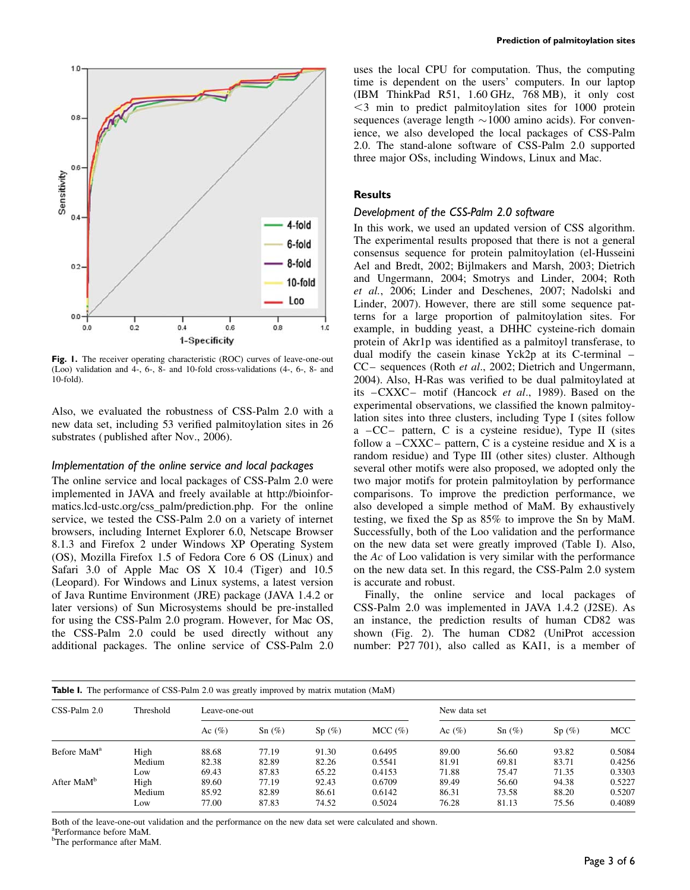

Fig. 1. The receiver operating characteristic (ROC) curves of leave-one-out (Loo) validation and 4-, 6-, 8- and 10-fold cross-validations (4-, 6-, 8- and 10-fold).

Also, we evaluated the robustness of CSS-Palm 2.0 with a new data set, including 53 verified palmitoylation sites in 26 substrates ( published after Nov., 2006).

### Implementation of the online service and local packages

The online service and local packages of CSS-Palm 2.0 were implemented in JAVA and freely available at http://bioinformatics.lcd-ustc.org/css\_palm/prediction.php. For the online service, we tested the CSS-Palm 2.0 on a variety of internet browsers, including Internet Explorer 6.0, Netscape Browser 8.1.3 and Firefox 2 under Windows XP Operating System (OS), Mozilla Firefox 1.5 of Fedora Core 6 OS (Linux) and Safari 3.0 of Apple Mac OS X 10.4 (Tiger) and 10.5 (Leopard). For Windows and Linux systems, a latest version of Java Runtime Environment (JRE) package (JAVA 1.4.2 or later versions) of Sun Microsystems should be pre-installed for using the CSS-Palm 2.0 program. However, for Mac OS, the CSS-Palm 2.0 could be used directly without any additional packages. The online service of CSS-Palm 2.0

uses the local CPU for computation. Thus, the computing time is dependent on the users' computers. In our laptop (IBM ThinkPad R51, 1.60 GHz, 768 MB), it only cost  $<$ 3 min to predict palmitoylation sites for 1000 protein sequences (average length  $\sim$  1000 amino acids). For convenience, we also developed the local packages of CSS-Palm 2.0. The stand-alone software of CSS-Palm 2.0 supported three major OSs, including Windows, Linux and Mac.

#### **Results**

#### Development of the CSS-Palm 2.0 software

In this work, we used an updated version of CSS algorithm. The experimental results proposed that there is not a general consensus sequence for protein palmitoylation (el-Husseini Ael and Bredt, 2002; Bijlmakers and Marsh, 2003; Dietrich and Ungermann, 2004; Smotrys and Linder, 2004; Roth et al., 2006; Linder and Deschenes, 2007; Nadolski and Linder, 2007). However, there are still some sequence patterns for a large proportion of palmitoylation sites. For example, in budding yeast, a DHHC cysteine-rich domain protein of Akr1p was identified as a palmitoyl transferase, to dual modify the casein kinase Yck2p at its C-terminal – CC – sequences (Roth et al., 2002; Dietrich and Ungermann, 2004). Also, H-Ras was verified to be dual palmitoylated at its -CXXC- motif (Hancock et al., 1989). Based on the experimental observations, we classified the known palmitoylation sites into three clusters, including Type I (sites follow a  $-CC-$  pattern, C is a cysteine residue), Type II (sites follow a  $-CXXC$  – pattern, C is a cysteine residue and X is a random residue) and Type III (other sites) cluster. Although several other motifs were also proposed, we adopted only the two major motifs for protein palmitoylation by performance comparisons. To improve the prediction performance, we also developed a simple method of MaM. By exhaustively testing, we fixed the Sp as 85% to improve the Sn by MaM. Successfully, both of the Loo validation and the performance on the new data set were greatly improved (Table I). Also, the Ac of Loo validation is very similar with the performance on the new data set. In this regard, the CSS-Palm 2.0 system is accurate and robust.

Finally, the online service and local packages of CSS-Palm 2.0 was implemented in JAVA 1.4.2 (J2SE). As an instance, the prediction results of human CD82 was shown (Fig. 2). The human CD82 (UniProt accession number: P27 701), also called as KAI1, is a member of

| <b>Table I.</b> The performance of CSS-Palm 2.0 was greatly improved by matrix mutation (MaM) |           |               |           |       |        |              |          |       |        |
|-----------------------------------------------------------------------------------------------|-----------|---------------|-----------|-------|--------|--------------|----------|-------|--------|
| $CSS-Palm 2.0$                                                                                | Threshold | Leave-one-out |           |       |        | New data set |          |       |        |
|                                                                                               |           | Ac $(\%)$     | Sn $(\%)$ | Sp(%) | MCC(%) | Ac $(\% )$   | $Sn(\%)$ | Sp(%) | MCC    |
| Before MaM <sup>a</sup>                                                                       | High      | 88.68         | 77.19     | 91.30 | 0.6495 | 89.00        | 56.60    | 93.82 | 0.5084 |
|                                                                                               | Medium    | 82.38         | 82.89     | 82.26 | 0.5541 | 81.91        | 69.81    | 83.71 | 0.4256 |
|                                                                                               | Low       | 69.43         | 87.83     | 65.22 | 0.4153 | 71.88        | 75.47    | 71.35 | 0.3303 |
| After MaM <sup>b</sup>                                                                        | High      | 89.60         | 77.19     | 92.43 | 0.6709 | 89.49        | 56.60    | 94.38 | 0.5227 |
|                                                                                               | Medium    | 85.92         | 82.89     | 86.61 | 0.6142 | 86.31        | 73.58    | 88.20 | 0.5207 |
|                                                                                               | Low       | 77.00         | 87.83     | 74.52 | 0.5024 | 76.28        | 81.13    | 75.56 | 0.4089 |

Both of the leave-one-out validation and the performance on the new data set were calculated and shown.

a Performance before MaM.

<sup>b</sup>The performance after MaM.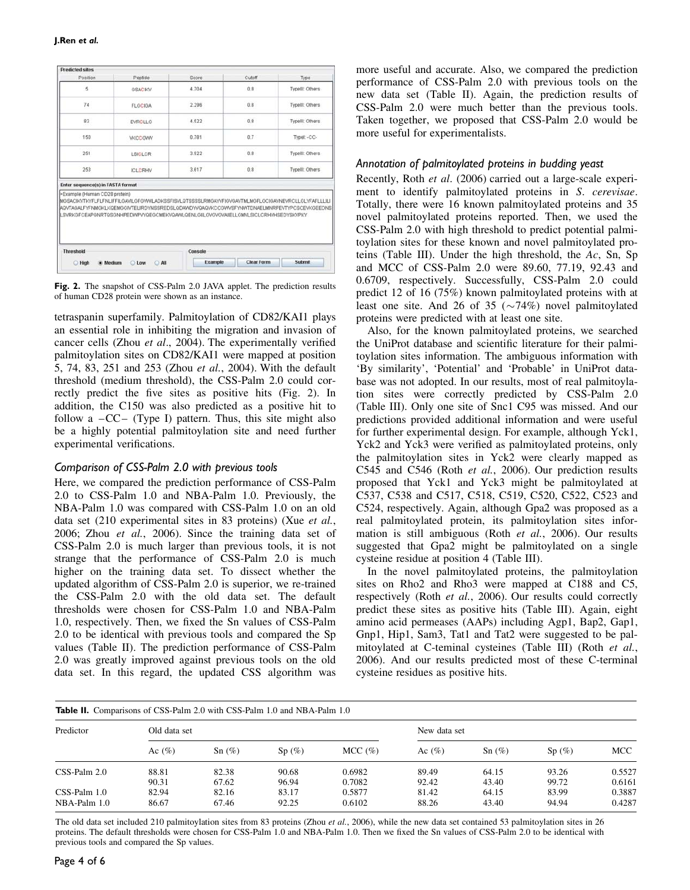| <b>Predicted sites</b>                                             |                                                                                                                                                                                                                                                                                     |                           |                   |                 |
|--------------------------------------------------------------------|-------------------------------------------------------------------------------------------------------------------------------------------------------------------------------------------------------------------------------------------------------------------------------------|---------------------------|-------------------|-----------------|
| Position                                                           | Peptide                                                                                                                                                                                                                                                                             | Score                     | Cutoff            | Type            |
| 5                                                                  | <b>GSACIKV</b>                                                                                                                                                                                                                                                                      | 4.704                     | 0.8               | Typelli: Others |
| 74                                                                 | <b>FLGCIGA</b>                                                                                                                                                                                                                                                                      | 2.296                     | 0.8               | Typelll: Others |
| 83                                                                 | EVRCLLG                                                                                                                                                                                                                                                                             | 4.522                     | 0.8               | Typelli: Others |
| 150                                                                | <b>VKCCGWW</b>                                                                                                                                                                                                                                                                      | 0.781                     | 0.7               | Typel: -CC-     |
| 251                                                                | <b>LSICLCR</b>                                                                                                                                                                                                                                                                      | 3.922                     | 0.8               | Typelll: Others |
| 253                                                                | <b>ICLCRHV</b>                                                                                                                                                                                                                                                                      | 3.617                     | 0.8               | Typellt: Others |
| Enter sequence(s) in FASTA format<br>>Example (Human CD28 protein) | MGSACIKVTKYFLFLFNLIFFILGAVILGFGVVIILADKSSFISVLQTSSSSLRMGAYVFIGVGAVTMLMGFLGCIGAVNEVRCLLGLYFAFLLLILI<br>AQVTAGALFYFNMGKLKQEMGGIVTELIRDYNSSREDSLQDAWDYVQAQVKCCGWVSFYNWTDNAELMNRPEVTYPCSCEVKGEEDNS<br>LSVRKGFCEAPGNRTQSGNHPEDWPVYQEGCMEKVQAWLQENLGILGVGVGVAIIELLGMVLSICLCRHVHSEDYSKVPKY |                           |                   |                 |
| <b>Threshold</b><br><b>High</b>                                    | $\bigcirc$ AB<br>Medium<br><b>Low</b>                                                                                                                                                                                                                                               | Console<br><b>Example</b> | <b>Clear Form</b> | Submit          |

Fig. 2. The snapshot of CSS-Palm 2.0 JAVA applet. The prediction results of human CD28 protein were shown as an instance.

tetraspanin superfamily. Palmitoylation of CD82/KAI1 plays an essential role in inhibiting the migration and invasion of cancer cells (Zhou et al., 2004). The experimentally verified palmitoylation sites on CD82/KAI1 were mapped at position 5, 74, 83, 251 and 253 (Zhou et al., 2004). With the default threshold (medium threshold), the CSS-Palm 2.0 could correctly predict the five sites as positive hits (Fig. 2). In addition, the C150 was also predicted as a positive hit to follow a  $-CC -$  (Type I) pattern. Thus, this site might also be a highly potential palmitoylation site and need further experimental verifications.

# Comparison of CSS-Palm 2.0 with previous tools

Here, we compared the prediction performance of CSS-Palm 2.0 to CSS-Palm 1.0 and NBA-Palm 1.0. Previously, the NBA-Palm 1.0 was compared with CSS-Palm 1.0 on an old data set (210 experimental sites in 83 proteins) (Xue et al., 2006; Zhou et al., 2006). Since the training data set of CSS-Palm 2.0 is much larger than previous tools, it is not strange that the performance of CSS-Palm 2.0 is much higher on the training data set. To dissect whether the updated algorithm of CSS-Palm 2.0 is superior, we re-trained the CSS-Palm 2.0 with the old data set. The default thresholds were chosen for CSS-Palm 1.0 and NBA-Palm 1.0, respectively. Then, we fixed the Sn values of CSS-Palm 2.0 to be identical with previous tools and compared the Sp values (Table II). The prediction performance of CSS-Palm 2.0 was greatly improved against previous tools on the old data set. In this regard, the updated CSS algorithm was

more useful and accurate. Also, we compared the prediction performance of CSS-Palm 2.0 with previous tools on the new data set (Table II). Again, the prediction results of CSS-Palm 2.0 were much better than the previous tools. Taken together, we proposed that CSS-Palm 2.0 would be more useful for experimentalists.

## Annotation of palmitoylated proteins in budding yeast

Recently, Roth et al. (2006) carried out a large-scale experiment to identify palmitoylated proteins in S. cerevisae. Totally, there were 16 known palmitoylated proteins and 35 novel palmitoylated proteins reported. Then, we used the CSS-Palm 2.0 with high threshold to predict potential palmitoylation sites for these known and novel palmitoylated proteins (Table III). Under the high threshold, the Ac, Sn, Sp and MCC of CSS-Palm 2.0 were 89.60, 77.19, 92.43 and 0.6709, respectively. Successfully, CSS-Palm 2.0 could predict 12 of 16 (75%) known palmitoylated proteins with at least one site. And 26 of 35 ( $\sim$ 74%) novel palmitoylated proteins were predicted with at least one site.

Also, for the known palmitoylated proteins, we searched the UniProt database and scientific literature for their palmitoylation sites information. The ambiguous information with 'By similarity', 'Potential' and 'Probable' in UniProt database was not adopted. In our results, most of real palmitoylation sites were correctly predicted by CSS-Palm 2.0 (Table III). Only one site of Snc1 C95 was missed. And our predictions provided additional information and were useful for further experimental design. For example, although Yck1, Yck2 and Yck3 were verified as palmitoylated proteins, only the palmitoylation sites in Yck2 were clearly mapped as C545 and C546 (Roth et al., 2006). Our prediction results proposed that Yck1 and Yck3 might be palmitoylated at C537, C538 and C517, C518, C519, C520, C522, C523 and C524, respectively. Again, although Gpa2 was proposed as a real palmitoylated protein, its palmitoylation sites information is still ambiguous (Roth et al., 2006). Our results suggested that Gpa2 might be palmitoylated on a single cysteine residue at position 4 (Table III).

In the novel palmitoylated proteins, the palmitoylation sites on Rho2 and Rho3 were mapped at C188 and C5, respectively (Roth et al., 2006). Our results could correctly predict these sites as positive hits (Table III). Again, eight amino acid permeases (AAPs) including Agp1, Bap2, Gap1, Gnp1, Hip1, Sam3, Tat1 and Tat2 were suggested to be palmitoylated at C-teminal cysteines (Table III) (Roth et al., 2006). And our results predicted most of these C-terminal cysteine residues as positive hits.

| <b>Table II.</b> Comparisons of CSS-Palm 2.0 with CSS-Palm 1.0 and NBA-Palm 1.0 |                |                |                |                  |                |                |                |                  |  |
|---------------------------------------------------------------------------------|----------------|----------------|----------------|------------------|----------------|----------------|----------------|------------------|--|
| Predictor                                                                       | Old data set   |                |                |                  | New data set   |                |                |                  |  |
|                                                                                 | Ac $(\% )$     | Sn(%)          | Sp(%)          | MCC (%)          | Ac $(\%)$      | $Sn(\%)$       | Sp(%)          | MCC              |  |
| $CSS-Palm 2.0$                                                                  | 88.81<br>90.31 | 82.38<br>67.62 | 90.68<br>96.94 | 0.6982<br>0.7082 | 89.49<br>92.42 | 64.15<br>43.40 | 93.26<br>99.72 | 0.5527<br>0.6161 |  |
| $CSS-Palm 1.0$<br>$NBA-Palm 1.0$                                                | 82.94<br>86.67 | 82.16<br>67.46 | 83.17<br>92.25 | 0.5877<br>0.6102 | 81.42<br>88.26 | 64.15<br>43.40 | 83.99<br>94.94 | 0.3887<br>0.4287 |  |

The old data set included 210 palmitoylation sites from 83 proteins (Zhou et al., 2006), while the new data set contained 53 palmitoylation sites in 26 proteins. The default thresholds were chosen for CSS-Palm 1.0 and NBA-Palm 1.0. Then we fixed the Sn values of CSS-Palm 2.0 to be identical with previous tools and compared the Sp values.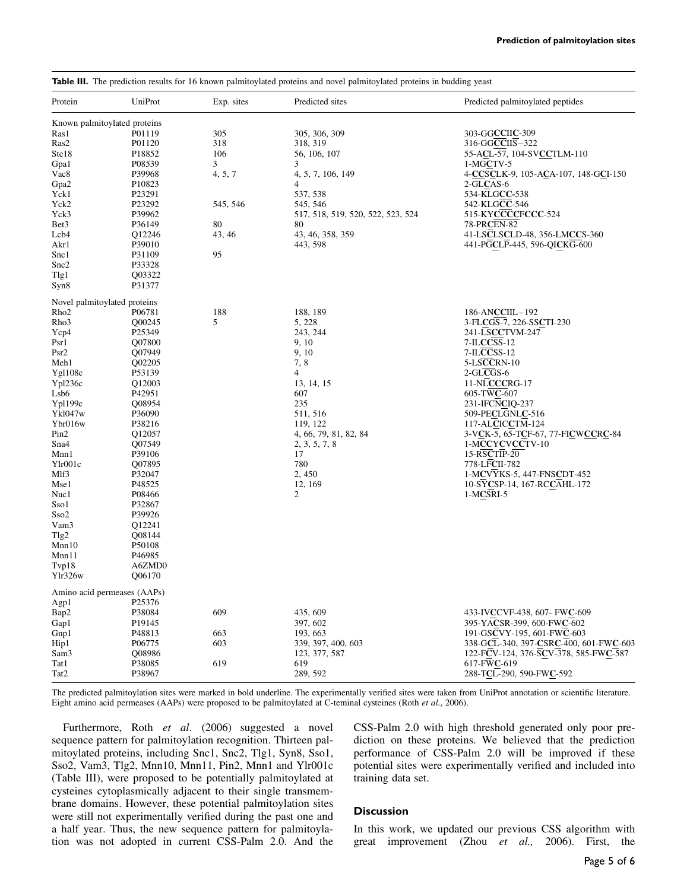| <b>Table III.</b> The prediction results for 16 known palmitoylated proteins and novel palmitoylated proteins in budding yeast |        |            |                                   |                                        |  |  |  |
|--------------------------------------------------------------------------------------------------------------------------------|--------|------------|-----------------------------------|----------------------------------------|--|--|--|
| UniProt<br>Protein                                                                                                             |        | Exp. sites | Predicted sites                   | Predicted palmitoylated peptides       |  |  |  |
| Known palmitoylated proteins                                                                                                   |        |            |                                   |                                        |  |  |  |
| Ras1                                                                                                                           | P01119 | 305        | 305, 306, 309                     | 303-GGCCIIC-309                        |  |  |  |
| Ras2                                                                                                                           | P01120 | 318        | 318, 319                          | 316-GGCCIIS-322                        |  |  |  |
| Ste18                                                                                                                          | P18852 | 106        | 56, 106, 107                      | 55-ACL-57, 104-SVCCTLM-110             |  |  |  |
| Gpa1                                                                                                                           | P08539 | 3          | 3                                 | 1-MGCTV-5                              |  |  |  |
| Vac8                                                                                                                           | P39968 | 4, 5, 7    | 4, 5, 7, 106, 149                 | 4-CCSCLK-9, 105-ACA-107, 148-GCI-150   |  |  |  |
| Gpa2                                                                                                                           | P10823 |            | 4                                 | 2-GLCAS-6                              |  |  |  |
| Yck1                                                                                                                           | P23291 |            | 537, 538                          | 534-KLGCC-538                          |  |  |  |
| Yck2                                                                                                                           | P23292 | 545, 546   | 545, 546                          | 542-KLGCC-546                          |  |  |  |
| Yck3                                                                                                                           | P39962 |            | 517, 518, 519, 520, 522, 523, 524 | 515-KYCCCCFCCC-524                     |  |  |  |
| Bet3                                                                                                                           | P36149 | 80         | 80                                | 78-PRCEN-82                            |  |  |  |
| Lcb4                                                                                                                           | Q12246 | 43, 46     | 43, 46, 358, 359                  | 41-LSCLSCLD-48, 356-LMCCS-360          |  |  |  |
| Akr1                                                                                                                           | P39010 |            | 443, 598                          | 441-PGCLP-445, 596-QICKG-600           |  |  |  |
| Snc1                                                                                                                           | P31109 | 95         |                                   |                                        |  |  |  |
| Snc2                                                                                                                           | P33328 |            |                                   |                                        |  |  |  |
| Tlg1                                                                                                                           | Q03322 |            |                                   |                                        |  |  |  |
| Syn8                                                                                                                           | P31377 |            |                                   |                                        |  |  |  |
|                                                                                                                                |        |            |                                   |                                        |  |  |  |
| Novel palmitoylated proteins                                                                                                   |        |            |                                   |                                        |  |  |  |
| Rho <sub>2</sub>                                                                                                               | P06781 | 188        | 188, 189                          | 186-ANCCIIL-192                        |  |  |  |
| Rho3                                                                                                                           | Q00245 | 5          | 5, 228                            | 3-FLCGS-7, 226-SSCTI-230               |  |  |  |
| Ycp4                                                                                                                           | P25349 |            | 243, 244                          | 241-LSCCTVM-247                        |  |  |  |
| Psr 1                                                                                                                          | Q07800 |            | 9, 10                             | 7-ILCCSS-12                            |  |  |  |
| Psr2                                                                                                                           | Q07949 |            | 9, 10                             | 7-ILCCSS-12                            |  |  |  |
| Meh1                                                                                                                           | Q02205 |            | 7,8                               | 5-LSCCRN-10                            |  |  |  |
| Yg1108c                                                                                                                        | P53139 |            | 4                                 | 2-GLCGS-6                              |  |  |  |
| Ypl236c                                                                                                                        | Q12003 |            | 13, 14, 15                        | 11-NLCCCRG-17                          |  |  |  |
| Lsb6                                                                                                                           | P42951 |            | 607                               | 605-TWC-607                            |  |  |  |
| Yp1199c                                                                                                                        | Q08954 |            | 235                               | 231-IFCNCIQ-237                        |  |  |  |
| <b>Ykl047w</b>                                                                                                                 | P36090 |            | 511, 516                          | 509-PECLGNLC-516                       |  |  |  |
| Ybr016w                                                                                                                        | P38216 |            | 119, 122                          | 117-ALCICCTM-124                       |  |  |  |
| Pin2                                                                                                                           | Q12057 |            | 4, 66, 79, 81, 82, 84             | 3-VCK-5, 65-TCF-67, 77-FICWCCRC-84     |  |  |  |
| Sna4                                                                                                                           | Q07549 |            | 2, 3, 5, 7, 8                     | 1-MCCYCVCCTV-10                        |  |  |  |
| Mnn1                                                                                                                           | P39106 |            | 17                                | 15-RSCTIP-20                           |  |  |  |
| Ylr001c                                                                                                                        | Q07895 |            | 780                               | 778-LFCII-782                          |  |  |  |
| Mlf3                                                                                                                           | P32047 |            | 2,450                             | 1-MCVYKS-5, 447-FNSCDT-452             |  |  |  |
| Mse1                                                                                                                           | P48525 |            | 12, 169                           | 10-SYCSP-14, 167-RCCAHL-172            |  |  |  |
| Nuc1                                                                                                                           | P08466 |            | 2                                 | 1-MCSRI-5                              |  |  |  |
| Sso1                                                                                                                           | P32867 |            |                                   |                                        |  |  |  |
| Sso2                                                                                                                           | P39926 |            |                                   |                                        |  |  |  |
| Vam3                                                                                                                           | Q12241 |            |                                   |                                        |  |  |  |
| Tlg2                                                                                                                           | Q08144 |            |                                   |                                        |  |  |  |
| Mnn10                                                                                                                          | P50108 |            |                                   |                                        |  |  |  |
| Mnn11                                                                                                                          | P46985 |            |                                   |                                        |  |  |  |
| Tvp18                                                                                                                          | A6ZMD0 |            |                                   |                                        |  |  |  |
| Ylr326w                                                                                                                        | Q06170 |            |                                   |                                        |  |  |  |
| Amino acid permeases (AAPs)                                                                                                    |        |            |                                   |                                        |  |  |  |
| Agp1                                                                                                                           | P25376 |            |                                   |                                        |  |  |  |
| Bap2                                                                                                                           | P38084 | 609        | 435, 609                          | 433-IVCCVF-438, 607- FWC-609           |  |  |  |
| Gap1                                                                                                                           | P19145 |            | 397, 602                          | 395-YACSR-399, 600-FWC-602             |  |  |  |
| Gnp1                                                                                                                           | P48813 | 663        | 193, 663                          | 191-GSCVY-195, 601-FWC-603             |  |  |  |
| Hip1                                                                                                                           | P06775 | 603        | 339, 397, 400, 603                | 338-GCL-340, 397-CSRC-400, 601-FWC-603 |  |  |  |
| Sam3                                                                                                                           | Q08986 |            | 123, 377, 587                     | 122-FCV-124, 376-SCV-378, 585-FWC-587  |  |  |  |
| Tat 1                                                                                                                          | P38085 | 619        | 619                               | $617-FWC-619$                          |  |  |  |
| Tat2                                                                                                                           | P38967 |            | 289, 592                          | 288-TCL-290, 590-FWC-592               |  |  |  |
|                                                                                                                                |        |            |                                   |                                        |  |  |  |

The predicted palmitoylation sites were marked in bold underline. The experimentally verified sites were taken from UniProt annotation or scientific literature. Eight amino acid permeases (AAPs) were proposed to be palmitoylated at C-teminal cysteines (Roth et al., 2006).

Furthermore, Roth et al. (2006) suggested a novel sequence pattern for palmitoylation recognition. Thirteen palmitoylated proteins, including Snc1, Snc2, Tlg1, Syn8, Sso1, Sso2, Vam3, Tlg2, Mnn10, Mnn11, Pin2, Mnn1 and Ylr001c (Table III), were proposed to be potentially palmitoylated at cysteines cytoplasmically adjacent to their single transmembrane domains. However, these potential palmitoylation sites were still not experimentally verified during the past one and a half year. Thus, the new sequence pattern for palmitoylation was not adopted in current CSS-Palm 2.0. And the CSS-Palm 2.0 with high threshold generated only poor prediction on these proteins. We believed that the prediction performance of CSS-Palm 2.0 will be improved if these potential sites were experimentally verified and included into training data set.

## **Discussion**

In this work, we updated our previous CSS algorithm with great improvement (Zhou et al., 2006). First, the